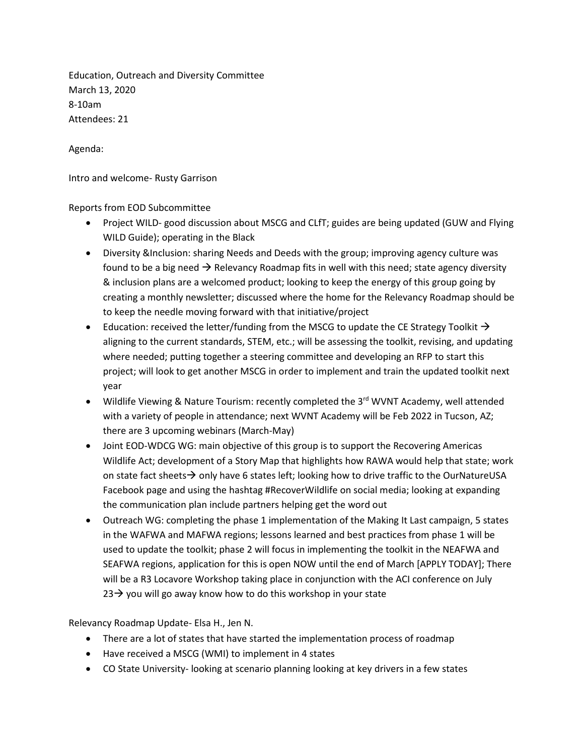Education, Outreach and Diversity Committee March 13, 2020 8-10am Attendees: 21

Agenda:

Intro and welcome- Rusty Garrison

Reports from EOD Subcommittee

- Project WILD- good discussion about MSCG and CLfT; guides are being updated (GUW and Flying WILD Guide); operating in the Black
- Diversity &Inclusion: sharing Needs and Deeds with the group; improving agency culture was found to be a big need  $\rightarrow$  Relevancy Roadmap fits in well with this need; state agency diversity & inclusion plans are a welcomed product; looking to keep the energy of this group going by creating a monthly newsletter; discussed where the home for the Relevancy Roadmap should be to keep the needle moving forward with that initiative/project
- Education: received the letter/funding from the MSCG to update the CE Strategy Toolkit  $\rightarrow$ aligning to the current standards, STEM, etc.; will be assessing the toolkit, revising, and updating where needed; putting together a steering committee and developing an RFP to start this project; will look to get another MSCG in order to implement and train the updated toolkit next year
- Wildlife Viewing & Nature Tourism: recently completed the 3<sup>rd</sup> WVNT Academy, well attended with a variety of people in attendance; next WVNT Academy will be Feb 2022 in Tucson, AZ; there are 3 upcoming webinars (March-May)
- Joint EOD-WDCG WG: main objective of this group is to support the Recovering Americas Wildlife Act; development of a Story Map that highlights how RAWA would help that state; work on state fact sheets  $\rightarrow$  only have 6 states left; looking how to drive traffic to the OurNatureUSA Facebook page and using the hashtag #RecoverWildlife on social media; looking at expanding the communication plan include partners helping get the word out
- Outreach WG: completing the phase 1 implementation of the Making It Last campaign, 5 states in the WAFWA and MAFWA regions; lessons learned and best practices from phase 1 will be used to update the toolkit; phase 2 will focus in implementing the toolkit in the NEAFWA and SEAFWA regions, application for this is open NOW until the end of March [APPLY TODAY]; There will be a R3 Locavore Workshop taking place in conjunction with the ACI conference on July  $23\rightarrow$  you will go away know how to do this workshop in your state

Relevancy Roadmap Update- Elsa H., Jen N.

- There are a lot of states that have started the implementation process of roadmap
- Have received a MSCG (WMI) to implement in 4 states
- CO State University- looking at scenario planning looking at key drivers in a few states